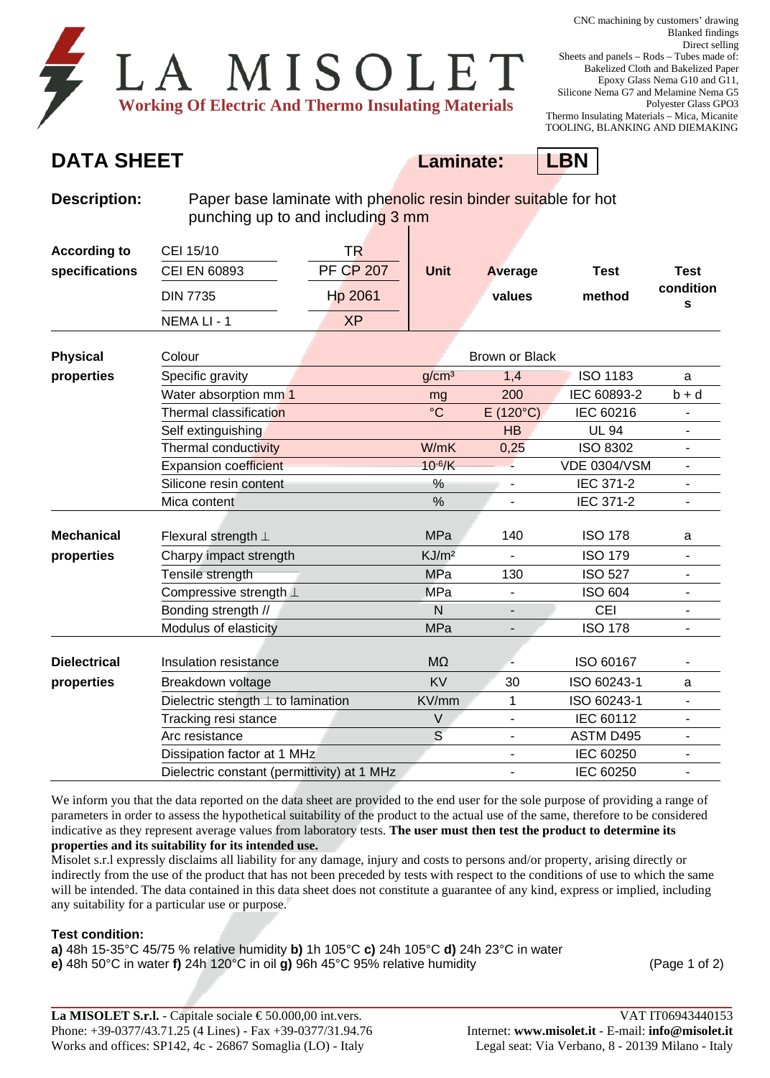| LA MISOLET                                                 |  |  |  |
|------------------------------------------------------------|--|--|--|
| <b>Working Of Electric And Thermo Insulating Materials</b> |  |  |  |

## **DATA SHEET Laminate: LBN**



| <b>Description:</b> | Paper base laminate with phenolic resin binder suitable for hot<br>punching up to and including 3 mm |                             |                       |                          |                       |                               |  |  |
|---------------------|------------------------------------------------------------------------------------------------------|-----------------------------|-----------------------|--------------------------|-----------------------|-------------------------------|--|--|
| <b>According to</b> | CEI 15/10                                                                                            | <b>TR</b>                   |                       |                          |                       |                               |  |  |
| specifications      | CEI EN 60893                                                                                         | <b>PF CP 207</b><br>Hp 2061 | <b>Unit</b>           | Average                  | <b>Test</b><br>method | <b>Test</b><br>condition<br>s |  |  |
|                     | <b>DIN 7735</b>                                                                                      |                             |                       | values                   |                       |                               |  |  |
|                     | NEMA LI - 1                                                                                          | <b>XP</b>                   |                       |                          |                       |                               |  |  |
| <b>Physical</b>     | Colour                                                                                               |                             | <b>Brown or Black</b> |                          |                       |                               |  |  |
| properties          | Specific gravity                                                                                     |                             | q/cm <sup>3</sup>     | 1,4                      | <b>ISO 1183</b>       | a                             |  |  |
|                     | Water absorption mm <sup>1</sup>                                                                     |                             | mg                    | 200                      | IEC 60893-2           | $b + d$                       |  |  |
|                     | Thermal classification                                                                               |                             | $\rm ^{\circ}C$       | $E(120^{\circ}C)$        | IEC 60216             |                               |  |  |
|                     | Self extinguishing                                                                                   |                             |                       | HB                       | <b>UL 94</b>          | $\qquad \qquad \blacksquare$  |  |  |
|                     | Thermal conductivity                                                                                 |                             | W/mK                  | 0,25                     | <b>ISO 8302</b>       | $\blacksquare$                |  |  |
|                     | <b>Expansion coefficient</b>                                                                         |                             | $10^{-6}$ /K          |                          | <b>VDE 0304/VSM</b>   |                               |  |  |
|                     | Silicone resin content                                                                               |                             | %                     |                          | IEC 371-2             | $\overline{a}$                |  |  |
|                     | Mica content                                                                                         |                             | %                     | $\overline{\phantom{a}}$ | IEC 371-2             | $\overline{\phantom{a}}$      |  |  |
| <b>Mechanical</b>   | Flexural strength $\perp$                                                                            |                             | <b>MPa</b>            | 140                      | <b>ISO 178</b>        | a                             |  |  |
| properties          | Charpy impact strength                                                                               |                             | KJ/m <sup>2</sup>     |                          | <b>ISO 179</b>        | $\overline{a}$                |  |  |
|                     | Tensile strength                                                                                     |                             | <b>MPa</b>            | 130                      | <b>ISO 527</b>        | $\overline{a}$                |  |  |
|                     | Compressive strength L                                                                               |                             | <b>MPa</b>            |                          | <b>ISO 604</b>        |                               |  |  |
|                     | Bonding strength //                                                                                  |                             | N                     |                          | <b>CEI</b>            | $\qquad \qquad \blacksquare$  |  |  |
|                     | Modulus of elasticity                                                                                |                             | <b>MPa</b>            |                          | <b>ISO 178</b>        | $\blacksquare$                |  |  |
| <b>Dielectrical</b> | Insulation resistance                                                                                |                             | M <sub>2</sub>        |                          | ISO 60167             |                               |  |  |
| properties          | Breakdown voltage                                                                                    |                             | <b>KV</b>             | 30                       | ISO 60243-1           | a                             |  |  |
|                     | Dielectric stength $\perp$ to lamination                                                             |                             | KV/mm                 | 1                        | ISO 60243-1           |                               |  |  |
|                     | Tracking resi stance                                                                                 |                             | V                     |                          | IEC 60112             | $\overline{\phantom{0}}$      |  |  |
|                     | Arc resistance                                                                                       |                             | S                     | $\blacksquare$           | ASTM D495             |                               |  |  |
|                     | Dissipation factor at 1 MHz                                                                          |                             |                       |                          | IEC 60250             | $\overline{a}$                |  |  |
|                     | Dielectric constant (permittivity) at 1 MHz                                                          |                             |                       |                          | IEC 60250             |                               |  |  |

We inform you that the data reported on the data sheet are provided to the end user for the sole purpose of providing a range of parameters in order to assess the hypothetical suitability of the product to the actual use of the same, therefore to be considered indicative as they represent average values from laboratory tests. **The user must then test the product to determine its properties and its suitability for its intended use.**

Misolet s.r.l expressly disclaims all liability for any damage, injury and costs to persons and/or property, arising directly or indirectly from the use of the product that has not been preceded by tests with respect to the conditions of use to which the same will be intended. The data contained in this data sheet does not constitute a guarantee of any kind, express or implied, including any suitability for a particular use or purpose.

## **Test condition:**

**a)** 48h 15-35°C 45/75 % relative humidity **b)** 1h 105°C **c)** 24h 105°C **d)** 24h 23°C in water **e)** 48h 50°C in water **f)** 24h 120°C in oil **g)** 96h 45°C 95% relative humidity (Page 1 of 2)